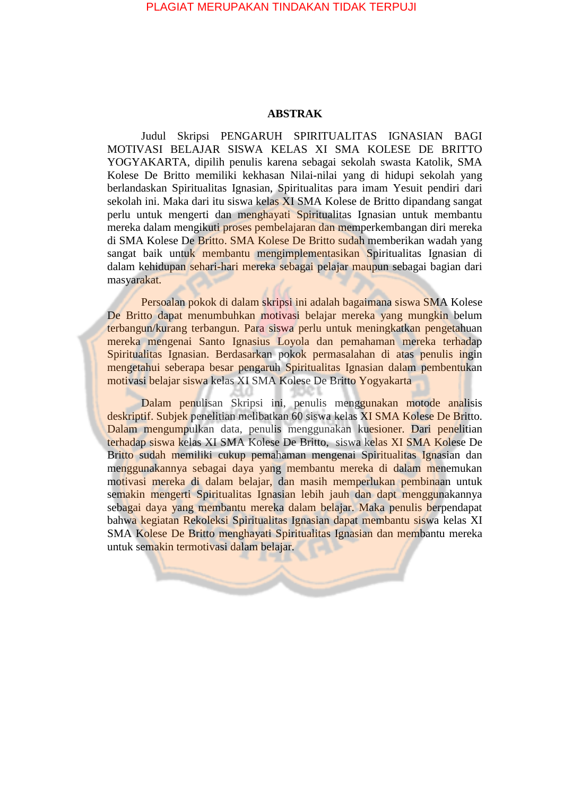## PLAGIAT MERUPAKAN TINDAKAN TIDAK TERPUJI

## **ABSTRAK**

Judul Skripsi PENGARUH SPIRITUALITAS IGNASIAN BAGI MOTIVASI BELAJAR SISWA KELAS XI SMA KOLESE DE BRITTO YOGYAKARTA, dipilih penulis karena sebagai sekolah swasta Katolik, SMA Kolese De Britto memiliki kekhasan Nilai-nilai yang di hidupi sekolah yang berlandaskan Spiritualitas Ignasian, Spiritualitas para imam Yesuit pendiri dari sekolah ini. Maka dari itu siswa kelas XI SMA Kolese de Britto dipandang sangat perlu untuk mengerti dan menghayati Spiritualitas Ignasian untuk membantu mereka dalam mengikuti proses pembelajaran dan memperkembangan diri mereka di SMA Kolese De Britto. SMA Kolese De Britto sudah memberikan wadah yang sangat baik untuk membantu mengimplementasikan Spiritualitas Ignasian di dalam kehidupan sehari-hari mereka sebagai pelajar maupun sebagai bagian dari masyarakat.

Persoalan pokok di dalam skripsi ini adalah bagaimana siswa SMA Kolese De Britto dapat menumbuhkan motivasi belajar mereka yang mungkin belum terbangun/kurang terbangun. Para siswa perlu untuk meningkatkan pengetahuan mereka mengenai Santo Ignasius Loyola dan pemahaman mereka terhadap Spiritualitas Ignasian. Berdasarkan pokok permasalahan di atas penulis ingin mengetahui seberapa besar pengaruh Spiritualitas Ignasian dalam pembentukan motivasi belajar siswa kelas XI SMA Kolese De Britto Yogyakarta

Dalam penulisan Skripsi ini, penulis menggunakan motode analisis deskriptif. Subjek penelitian melibatkan 60 siswa kelas XI SMA Kolese De Britto. Dalam mengumpulkan data, penulis menggunakan kuesioner. Dari penelitian terhadap siswa kelas XI SMA Kolese De Britto, siswa kelas XI SMA Kolese De Britto sudah memiliki cukup pemahaman mengenai Spiritualitas Ignasian dan menggunakannya sebagai daya yang membantu mereka di dalam menemukan motivasi mereka di dalam belajar, dan masih memperlukan pembinaan untuk semakin mengerti Spiritualitas Ignasian lebih jauh dan dapt menggunakannya sebagai daya yang membantu mereka dalam belajar. Maka penulis berpendapat bahwa kegiatan Rekoleksi Spiritualitas Ignasian dapat membantu siswa kelas XI SMA Kolese De Britto menghayati Spiritualitas Ignasian dan membantu mereka untuk semakin termotivasi dalam belajar.